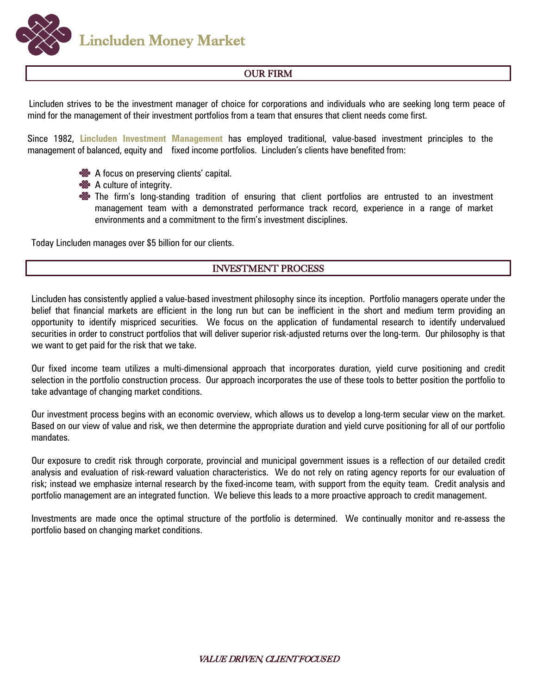**Lincluden Money Market** 

## OUR FIRM

Lincluden strives to be the investment manager of choice for corporations and individuals who are seeking long term peace of mind for the management of their investment portfolios from a team that ensures that client needs come first.

Since 1982, **Lincluden Investment Management** has employed traditional, value-based investment principles to the management of balanced, equity and fixed income portfolios. Lincluden's clients have benefited from:



- **&** A culture of integrity.
- **So** The firm's long-standing tradition of ensuring that client portfolios are entrusted to an investment management team with a demonstrated performance track record, experience in a range of market environments and a commitment to the firm's investment disciplines.

Today Lincluden manages over \$5 billion for our clients.

## INVESTMENT PROCESS

Lincluden has consistently applied a value-based investment philosophy since its inception. Portfolio managers operate under the belief that financial markets are efficient in the long run but can be inefficient in the short and medium term providing an opportunity to identify mispriced securities. We focus on the application of fundamental research to identify undervalued securities in order to construct portfolios that will deliver superior risk-adjusted returns over the long-term. Our philosophy is that we want to get paid for the risk that we take.

Our fixed income team utilizes a multi-dimensional approach that incorporates duration, yield curve positioning and credit selection in the portfolio construction process. Our approach incorporates the use of these tools to better position the portfolio to take advantage of changing market conditions.

Our investment process begins with an economic overview, which allows us to develop a long-term secular view on the market. Based on our view of value and risk, we then determine the appropriate duration and yield curve positioning for all of our portfolio mandates.

Our exposure to credit risk through corporate, provincial and municipal government issues is a reflection of our detailed credit analysis and evaluation of risk-reward valuation characteristics. We do not rely on rating agency reports for our evaluation of risk; instead we emphasize internal research by the fixed-income team, with support from the equity team. Credit analysis and portfolio management are an integrated function. We believe this leads to a more proactive approach to credit management.

Investments are made once the optimal structure of the portfolio is determined. We continually monitor and re-assess the portfolio based on changing market conditions.